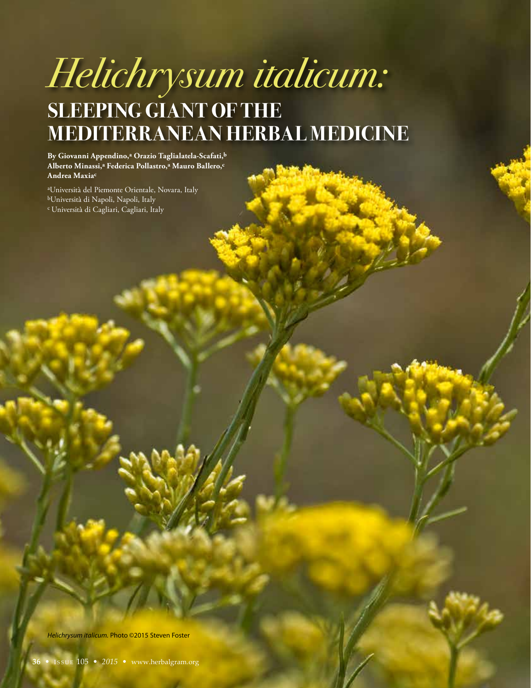# *Helichrysum italicum:* **SLEEPING GIANT OF THE MEDITERRANEAN HERBAL MEDICINE**

**By Giovanni Appendino,a Orazio Taglialatela-Scafati,b Alberto Minassi,a Federica Pollastro,a Mauro Ballero,c Andrea Maxiac**

aUniversità del Piemonte Orientale, Novara, Italy bUniversità di Napoli, Napoli, Italy c Università di Cagliari, Cagliari, Italy

*Helichrysum italicum.* Photo ©2015 Steven Foster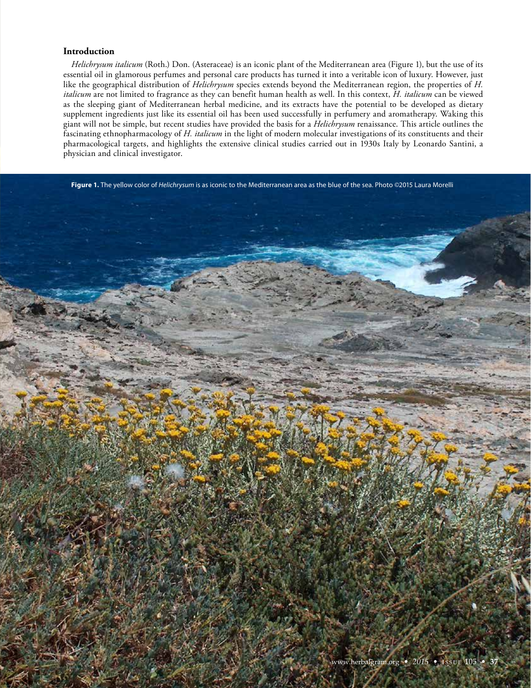## **Introduction**

*Helichrysum italicum* (Roth.) Don. (Asteraceae) is an iconic plant of the Mediterranean area (Figure 1), but the use of its essential oil in glamorous perfumes and personal care products has turned it into a veritable icon of luxury. However, just like the geographical distribution of *Helichrysum* species extends beyond the Mediterranean region, the properties of *H. italicum* are not limited to fragrance as they can benefit human health as well. In this context, *H. italicum* can be viewed as the sleeping giant of Mediterranean herbal medicine, and its extracts have the potential to be developed as dietary supplement ingredients just like its essential oil has been used successfully in perfumery and aromatherapy. Waking this giant will not be simple, but recent studies have provided the basis for a *Helichrysum* renaissance. This article outlines the fascinating ethnopharmacology of *H. italicum* in the light of modern molecular investigations of its constituents and their pharmacological targets, and highlights the extensive clinical studies carried out in 1930s Italy by Leonardo Santini, a physician and clinical investigator.

**Figure 1.** The yellow color of *Helichrysum* is as iconic to the Mediterranean area as the blue of the sea. Photo ©2015 Laura Morelli

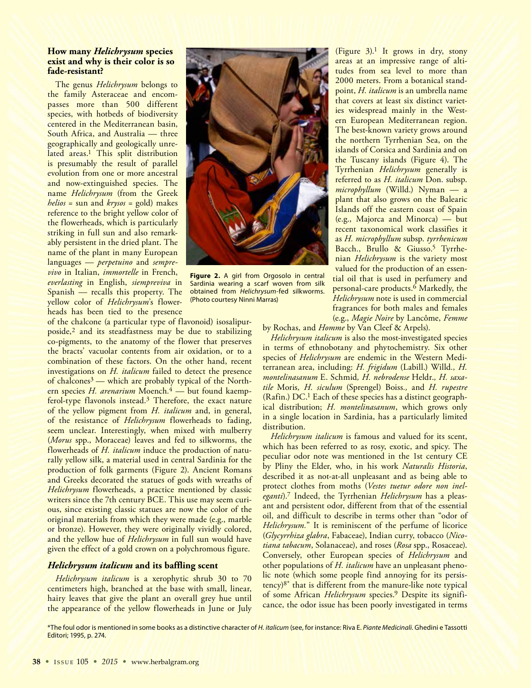# **How many** *Helichrysum* **species exist and why is their color is so fade-resistant?**

The genus *Helichrysum* belongs to the family Asteraceae and encompasses more than 500 different species, with hotbeds of biodiversity centered in the Mediterranean basin, South Africa, and Australia — three geographically and geologically unrelated areas.<sup>1</sup> This split distribution is presumably the result of parallel evolution from one or more ancestral and now-extinguished species. The name *Helichrysum* (from the Greek *helios* = sun and *krysos* = gold) makes reference to the bright yellow color of the flowerheads, which is particularly striking in full sun and also remarkably persistent in the dried plant. The name of the plant in many European languages — *perpetuino* and *semprevivo* in Italian, *immortelle* in French, *everlasting* in English, *siempreviva* in Spanish — recalls this property. The yellow color of *Helichrysum*'s flowerheads has been tied to the presence

of the chalcone (a particular type of flavonoid) isosalipurposide,2 and its steadfastness may be due to stabilizing co-pigments, to the anatomy of the flower that preserves the bracts' vacuolar contents from air oxidation, or to a combination of these factors. On the other hand, recent investigations on *H. italicum* failed to detect the presence of chalcones<sup>3</sup> — which are probably typical of the Northern species *H. arenarium* Moench*.* 4 — but found kaempferol-type flavonols instead.3 Therefore, the exact nature of the yellow pigment from *H. italicum* and, in general, of the resistance of *Helichrysum* flowerheads to fading, seem unclear. Interestingly, when mixed with mulberry (*Morus* spp., Moraceae) leaves and fed to silkworms, the flowerheads of *H. italicum* induce the production of naturally yellow silk, a material used in central Sardinia for the production of folk garments (Figure 2). Ancient Romans and Greeks decorated the statues of gods with wreaths of *Helichrysum* flowerheads, a practice mentioned by classic writers since the 7th century BCE. This use may seem curious, since existing classic statues are now the color of the original materials from which they were made (e.g., marble or bronze). However, they were originally vividly colored, and the yellow hue of *Helichrysum* in full sun would have given the effect of a gold crown on a polychromous figure.

# *Helichrysum italicum* **and its baffling scent**

*Helichrysum italicum* is a xerophytic shrub 30 to 70 centimeters high, branched at the base with small, linear, hairy leaves that give the plant an overall grey hue until the appearance of the yellow flowerheads in June or July



**Figure 2.** A girl from Orgosolo in central Sardinia wearing a scarf woven from silk obtained from *Helichrysum*-fed silkworms. (Photo courtesy Ninni Marras)

(Figure 3).1 It grows in dry, stony areas at an impressive range of altitudes from sea level to more than 2000 meters. From a botanical standpoint, *H. italicum* is an umbrella name that covers at least six distinct varieties widespread mainly in the Western European Mediterranean region. The best-known variety grows around the northern Tyrrhenian Sea, on the islands of Corsica and Sardinia and on the Tuscany islands (Figure 4). The Tyrrhenian *Helichrysum* generally is referred to as *H. italicum* Don. subsp. *microphyllum* (Willd.) Nyman — a plant that also grows on the Balearic Islands off the eastern coast of Spain (e.g., Majorca and Minorca) — but recent taxonomical work classifies it as *H. microphyllum* subsp. *tyrrhenicum* Bacch., Brullo & Giusso.5 Tyrrhenian *Helichrysum* is the variety most valued for the production of an essential oil that is used in perfumery and personal-care products. $\overline{6}$  Markedly, the *Helichrysum* note is used in commercial fragrances for both males and females (e.g., *Magie Noire* by Lancôme, *Femme*

by Rochas, and *Homme* by Van Cleef & Arpels).

*Helichrysum italicum* is also the most-investigated species in terms of ethnobotany and phytochemistry. Six other species of *Helichrysum* are endemic in the Western Mediterranean area, including: *H. frigidum* (Labill.) Willd*., H. montelinasanum* E. Schmid*, H. nebrodense* Heldr.*, H. saxatile* Moris*, H. siculum* (Sprengel) Boiss*.,* and *H. rupestre*  (Rafin.) DC.1 Each of these species has a distinct geographical distribution; *H. montelinasanum*, which grows only in a single location in Sardinia, has a particularly limited distribution.

*Helichrysum italicum* is famous and valued for its scent, which has been referred to as rosy, exotic, and spicy. The peculiar odor note was mentioned in the 1st century CE by Pliny the Elder, who, in his work *Naturalis Historia*, described it as not-at-all unpleasant and as being able to protect clothes from moths (*Vestes tuetur odore non ineleganti*).7 Indeed, the Tyrrhenian *Helichrysum* has a pleasant and persistent odor, different from that of the essential oil, and difficult to describe in terms other than "odor of *Helichrysum.*" It is reminiscent of the perfume of licorice (*Glycyrrhiza glabra*, Fabaceae), Indian curry, tobacco (*Nicotiana tabacum*, Solanaceae), and roses (*Rosa* spp., Rosaceae). Conversely, other European species of *Helichrysum* and other populations of *H. italicum* have an unpleasant phenolic note (which some people find annoying for its persistency)8\* that is different from the manure-like note typical of some African *Helichrysum* species.9 Despite its significance, the odor issue has been poorly investigated in terms

\*The foul odor is mentioned in some books as a distinctive character of *H. italicum* (see, for instance: Riva E. *Piante Medicinali*. Ghedini e Tassotti Editori; 1995, p. 274.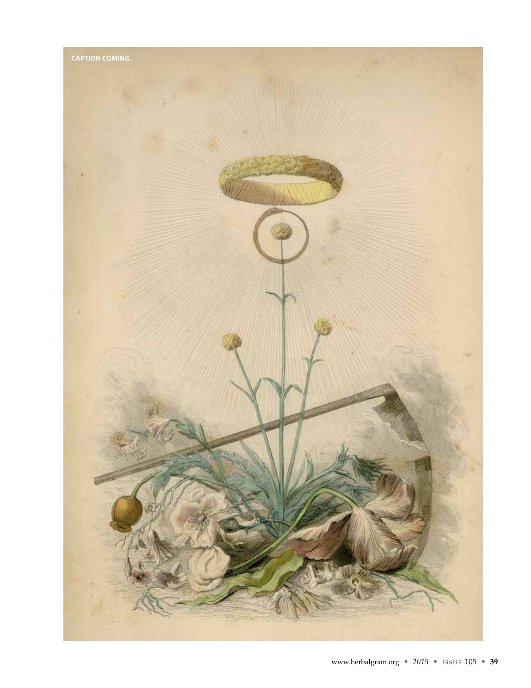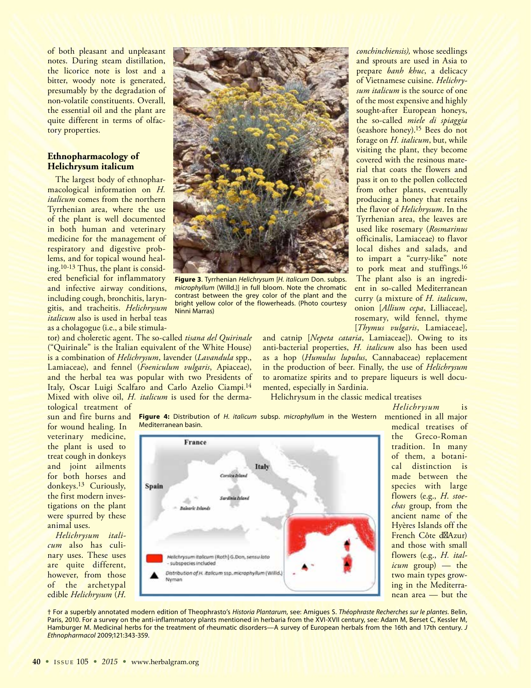of both pleasant and unpleasant notes. During steam distillation, the licorice note is lost and a bitter, woody note is generated, presumably by the degradation of non-volatile constituents. Overall, the essential oil and the plant are quite different in terms of olfactory properties.

# **Ethnopharmacology of Helichrysum italicum**

The largest body of ethnopharmacological information on *H. italicum* comes from the northern Tyrrhenian area, where the use of the plant is well documented in both human and veterinary medicine for the management of respiratory and digestive problems, and for topical wound healing.10-13 Thus, the plant is considered beneficial for inflammatory and infective airway conditions, including cough, bronchitis, laryngitis, and tracheitis. *Helichrysum italicum* also is used in herbal teas as a cholagogue (i.e., a bile stimula-

tor) and choleretic agent. The so-called *tisana del Quirinale* ("Quirinale" is the Italian equivalent of the White House) is a combination of *Helichrysum*, lavender (*Lavandula* spp., Lamiaceae), and fennel (*Foeniculum vulgaris*, Apiaceae), and the herbal tea was popular with two Presidents of Italy, Oscar Luigi Scalfaro and Carlo Azelio Ciampi.<sup>14</sup> Mixed with olive oil, *H. italicum* is used for the derma-



**Figure 3**. Tyrrhenian *Helichrysum* [*H. italicum* Don. subps. *microphyllum* (Willd.)] in full bloom. Note the chromatic contrast between the grey color of the plant and the bright yellow color of the flowerheads. (Photo courtesy Ninni Marras)

sought-after European honeys, the so-called *miele di spiaggia* (seashore honey).15 Bees do not forage on *H. italicum*, but, while visiting the plant, they become covered with the resinous material that coats the flowers and pass it on to the pollen collected from other plants, eventually producing a honey that retains the flavor of *Helichrysum*. In the Tyrrhenian area, the leaves are used like rosemary (*Rosmarinus*  officinalis, Lamiaceae) to flavor local dishes and salads, and to impart a "curry-like" note to pork meat and stuffings.16 The plant also is an ingredient in so-called Mediterranean curry (a mixture of *H. italicum*, onion [*Allium cepa*, Lilliaceae], rosemary, wild fennel, thyme [*Thymus vulgaris*, Lamiaceae],

*conchinchiensis),* whose seedlings and sprouts are used in Asia to prepare *banh khuc*, a delicacy of Vietnamese cuisine. *Helichrysum italicum* is the source of one of the most expensive and highly

and catnip [*Nepeta cataria*, Lamiaceae]). Owing to its anti-bacterial properties, *H. italicum* also has been used as a hop (*Humulus lupulus*, Cannabaceae) replacement in the production of beer. Finally, the use of *Helichrysum* to aromatize spirits and to prepare liqueurs is well documented, especially in Sardinia.

Helichrysum in the classic medical treatises

tological treatment of sun and fire burns and for wound healing. In veterinary medicine, the plant is used to treat cough in donkeys and joint ailments for both horses and donkeys.13 Curiously, the first modern investigations on the plant were spurred by these animal uses.

*Helichrysum italicum* also has culinary uses. These uses are quite different, however, from those of the archetypal edible *Helichrysum* (*H*.

**Figure 4:** Distribution of *H. italicum* subsp. *microphyllum* in the Western mentioned in all major Mediterranean basin.



medical treatises of the Greco-Roman tradition. In many of them, a botanical distinction is made between the species with large flowers (e.g., *H*. *stoechas* group, from the ancient name of the Hyères Islands off the French Côte d Azur) and those with small flowers (e.g., *H. italicum* group) — the two main types growing in the Mediterranean area — but the

*Helichrysum* is

† For a superbly annotated modern edition of Theophrasto's *Historia Plantarum*, see: Amigues S. *Théophraste Recherches sur le plantes*. Belin, Paris, 2010. For a survey on the anti-inflammatory plants mentioned in herbaria from the XVI-XVII century, see: Adam M, Berset C, Kessler M, Hamburger M. Medicinal herbs for the treatment of rheumatic disorders—A survey of European herbals from the 16th and 17th century. *J Ethnopharmacol* 2009;121:343-359.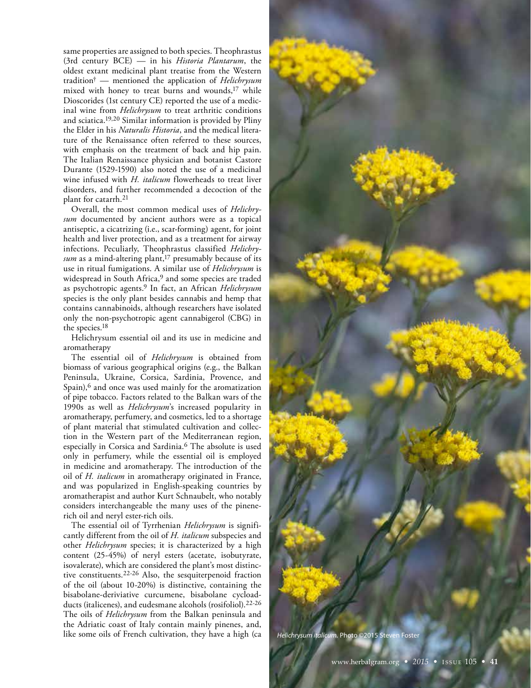same properties are assigned to both species. Theophrastus (3rd century BCE) — in his *Historia Plantarum*, the oldest extant medicinal plant treatise from the Western tradition† — mentioned the application of *Helichrysum* mixed with honey to treat burns and wounds,17 while Dioscorides (1st century CE) reported the use of a medicinal wine from *Helichrysum* to treat arthritic conditions and sciatica.19,20 Similar information is provided by Pliny the Elder in his *Naturalis Historia*, and the medical literature of the Renaissance often referred to these sources, with emphasis on the treatment of back and hip pain. The Italian Renaissance physician and botanist Castore Durante (1529-1590) also noted the use of a medicinal wine infused with *H. italicum* flowerheads to treat liver disorders, and further recommended a decoction of the plant for catarrh.21

Overall, the most common medical uses of *Helichrysum* documented by ancient authors were as a topical antiseptic, a cicatrizing (i.e., scar-forming) agent, for joint health and liver protection, and as a treatment for airway infections. Peculiarly, Theophrastus classified *Helichrysum* as a mind-altering plant,17 presumably because of its use in ritual fumigations. A similar use of *Helichrysum* is widespread in South Africa,<sup>9</sup> and some species are traded as psychotropic agents.9 In fact, an African *Helichrysum* species is the only plant besides cannabis and hemp that contains cannabinoids, although researchers have isolated only the non-psychotropic agent cannabigerol (CBG) in the species.18

Helichrysum essential oil and its use in medicine and aromatherapy

The essential oil of *Helichrysum* is obtained from biomass of various geographical origins (e.g., the Balkan Peninsula, Ukraine, Corsica, Sardinia, Provence, and Spain),<sup>6</sup> and once was used mainly for the aromatization of pipe tobacco. Factors related to the Balkan wars of the 1990s as well as *Helichrysum*'s increased popularity in aromatherapy, perfumery, and cosmetics, led to a shortage of plant material that stimulated cultivation and collection in the Western part of the Mediterranean region, especially in Corsica and Sardinia.6 The absolute is used only in perfumery, while the essential oil is employed in medicine and aromatherapy. The introduction of the oil of *H. italicum* in aromatherapy originated in France, and was popularized in English-speaking countries by aromatherapist and author Kurt Schnaubelt, who notably considers interchangeable the many uses of the pinenerich oil and neryl ester-rich oils.

The essential oil of Tyrrhenian *Helichrysum* is significantly different from the oil of *H. italicum* subspecies and other *Helichrysum* species; it is characterized by a high content (25-45%) of neryl esters (acetate, isobutyrate, isovalerate), which are considered the plant's most distinctive constituents.22-26 Also, the sesquiterpenoid fraction of the oil (about 10-20%) is distinctive, containing the bisabolane-deriviative curcumene, bisabolane cycloadducts (italicenes), and eudesmane alcohols (rosifoliol).22-26 The oils of *Helichrysum* from the Balkan peninsula and the Adriatic coast of Italy contain mainly pinenes, and, like some oils of French cultivation, they have a high (ca

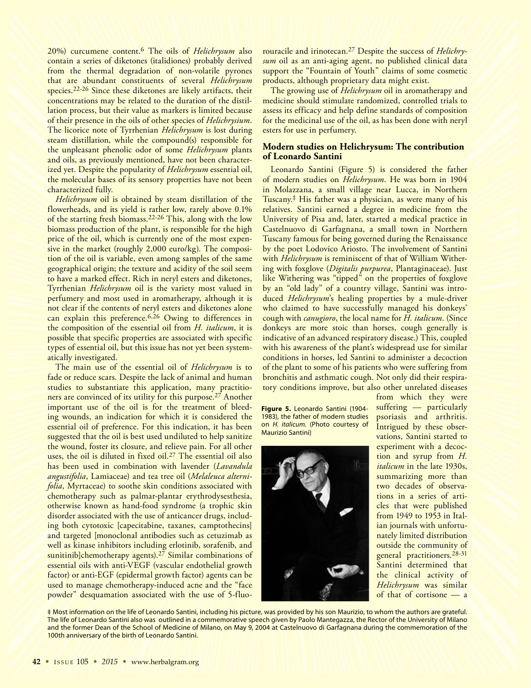20%) curcumene content.6 The oils of *Helichrysum* also contain a series of diketones (italidiones) probably derived from the thermal degradation of non-volatile pyrones that are abundant constituents of several *Helichrysum* species.22-26 Since these diketones are likely artifacts, their concentrations may be related to the duration of the distillation process, but their value as markers is limited because of their presence in the oils of other species of *Helichrysium*. The licorice note of Tyrrhenian *Helichrysum* is lost during steam distillation, while the compound(s) responsible for the unpleasant phenolic odor of some *Helichrysum* plants and oils, as previously mentioned, have not been characterized yet. Despite the popularity of *Helichrysum* essential oil, the molecular bases of its sensory properties have not been characterized fully.

*Helichrysum* oil is obtained by steam distillation of the flowerheads, and its yield is rather low, rarely above 0.1% of the starting fresh biomass.22-26 This, along with the low biomass production of the plant, is responsible for the high price of the oil, which is currently one of the most expensive in the market (roughly 2,000 euro/kg). The composition of the oil is variable, even among samples of the same geographical origin; the texture and acidity of the soil seem to have a marked effect. Rich in neryl esters and diketones, Tyrrhenian *Helichrysum* oil is the variety most valued in perfumery and most used in aromatherapy, although it is not clear if the contents of neryl esters and diketones alone can explain this preference.6,26 Owing to differences in the composition of the essential oil from *H. italicum*, it is possible that specific properties are associated with specific types of essential oil, but this issue has not yet been systematically investigated.

The main use of the essential oil of *Helichrysum* is to fade or reduce scars. Despite the lack of animal and human studies to substantiate this application, many practitioners are convinced of its utility for this purpose.27 Another important use of the oil is for the treatment of bleeding wounds, an indication for which it is considered the essential oil of preference. For this indication, it has been suggested that the oil is best used undiluted to help sanitize the wound, foster its closure, and relieve pain. For all other uses, the oil is diluted in fixed oil.27 The essential oil also has been used in combination with lavender (*Lavandula angustifolia*, Lamiaceae) and tea tree oil (*Melaleuca alternifolia*, Myrtaceae) to soothe skin conditions associated with chemotherapy such as palmar-plantar erythrodysesthesia, otherwise known as hand-food syndrome (a trophic skin disorder associated with the use of anticancer drugs, including both cytotoxic [capecitabine, taxanes, camptothecins] and targeted [monoclonal antibodies such as cetuzimab as well as kinase inhibitors including erlotinib, sorafenib, and sunitinib]chemotherapy agents).<sup>27</sup> Similar combinations of essential oils with anti-VEGF (vascular endothelial growth factor) or anti-EGF (epidermal growth factor) agents can be used to manage chemotherapy-induced acne and the "face powder" desquamation associated with the use of 5-fluo-

rouracile and irinotecan.27 Despite the success of *Helichrysum* oil as an anti-aging agent, no published clinical data support the "Fountain of Youth" claims of some cosmetic products, although proprietary data might exist.

The growing use of *Helichrysum* oil in aromatherapy and medicine should stimulate randomized, controlled trials to assess its efficacy and help define standards of composition for the medicinal use of the oil, as has been done with neryl esters for use in perfumery.

# **Modern studies on Helichrysum: The contribution of Leonardo Santini**

Leonardo Santini (Figure 5) is considered the father of modern studies on *Helichrysum*. He was born in 1904 in Molazzana, a small village near Lucca, in Northern Tuscany.‡ His father was a physician, as were many of his relatives. Santini earned a degree in medicine from the University of Pisa and, later, started a medical practice in Castelnuovo di Garfagnana, a small town in Northern Tuscany famous for being governed during the Renaissance by the poet Lodovico Ariosto. The involvement of Santini with *Helichrysum* is reminiscent of that of William Withering with foxglove (*Digitalis purpurea*, Plantaginaceae). Just like Withering was "tipped" on the properties of foxglove by an "old lady" of a country village, Santini was introduced *Helichrysum*'s healing properties by a mule-driver who claimed to have successfully managed his donkeys' cough with *canugioro*, the local name for *H. italicum*. (Since donkeys are more stoic than horses, cough generally is indicative of an advanced respiratory disease.) This, coupled with his awareness of the plant's widespread use for similar conditions in horses, led Santini to administer a decoction of the plant to some of his patients who were suffering from bronchitis and asthmatic cough. Not only did their respiratory conditions improve, but also other unrelated diseases

**Figure 5.** Leonardo Santini (1904- 1983), the father of modern studies on *H. italicum*. (Photo courtesy of Maurizio Santini)



from which they were suffering — particularly psoriasis and arthritis. Intrigued by these observations, Santini started to experiment with a decoction and syrup from *H. italicum* in the late 1930s, summarizing more than two decades of observations in a series of articles that were published from 1949 to 1953 in Italian journals with unfortunately limited distribution outside the community of general practitioners.<sup>28-31</sup> Santini determined that the clinical activity of *Helichrysum* was similar of that of cortisone — a

‡ Most information on the life of Leonardo Santini, including his picture, was provided by his son Maurizio, to whom the authors are grateful. The life of Leonardo Santini also was outlined in a commemorative speech given by Paolo Mantegazza, the Rector of the University of Milano and the former Dean of the School of Medicine of Milano, on May 9, 2004 at Castelnuovo di Garfagnana during the commemoration of the 100th anniversary of the birth of Leonardo Santini.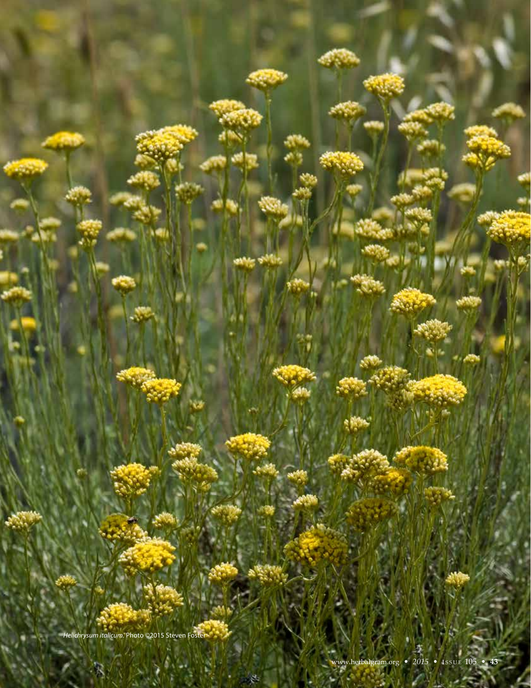*Helichrysum italicum.* Photo ©2015 Steven Foster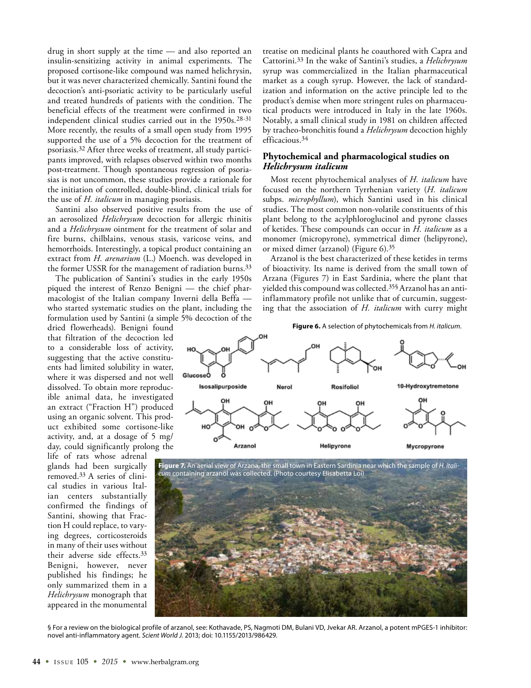drug in short supply at the time — and also reported an insulin-sensitizing activity in animal experiments. The proposed cortisone-like compound was named helichrysin, but it was never characterized chemically. Santini found the decoction's anti-psoriatic activity to be particularly useful and treated hundreds of patients with the condition. The beneficial effects of the treatment were confirmed in two independent clinical studies carried out in the 1950s.28-31 More recently, the results of a small open study from 1995 supported the use of a 5% decoction for the treatment of psoriasis.32 After three weeks of treatment, all study participants improved, with relapses observed within two months post-treatment. Though spontaneous regression of psoriasias is not uncommon, these studies provide a rationale for the initiation of controlled, double-blind, clinical trials for the use of *H. italicum* in managing psoriasis.

Santini also observed positive results from the use of an aerosolized *Helichrysum* decoction for allergic rhinitis and a *Helichrysum* ointment for the treatment of solar and fire burns, chilblains, venous stasis, varicose veins, and hemorrhoids. Interestingly, a topical product containing an extract from *H. arenarium* (L.) Moench. was developed in the former USSR for the management of radiation burns.<sup>33</sup>

The publication of Santini's studies in the early 1950s piqued the interest of Renzo Benigni — the chief pharmacologist of the Italian company Inverni della Beffa who started systematic studies on the plant, including the formulation used by Santini (a simple 5% decoction of the

dried flowerheads). Benigni found that filtration of the decoction led to a considerable loss of activity, suggesting that the active constituents had limited solubility in water, where it was dispersed and not well dissolved. To obtain more reproducible animal data, he investigated an extract ("Fraction H") produced using an organic solvent. This product exhibited some cortisone-like activity, and, at a dosage of 5 mg/ day, could significantly prolong the

life of rats whose adrenal glands had been surgically removed.33 A series of clinical studies in various Italian centers substantially confirmed the findings of Santini, showing that Fraction H could replace, to varying degrees, corticosteroids in many of their uses without their adverse side effects.33 Benigni, however, never published his findings; he only summarized them in a *Helichrysum* monograph that appeared in the monumental

treatise on medicinal plants he coauthored with Capra and Cattorini.33 In the wake of Santini's studies, a *Helichrysum* syrup was commercialized in the Italian pharmaceutical market as a cough syrup. However, the lack of standardization and information on the active principle led to the product's demise when more stringent rules on pharmaceutical products were introduced in Italy in the late 1960s. Notably, a small clinical study in 1981 on children affected by tracheo-bronchitis found a *Helichrysum* decoction highly efficacious.34

### **Phytochemical and pharmacological studies on**  *Helichrysum italicum*

Most recent phytochemical analyses of *H. italicum* have focused on the northern Tyrrhenian variety (*H. italicum* subps. *microphyllum*), which Santini used in his clinical studies. The most common non-volatile constituents of this plant belong to the acylphloroglucinol and pyrone classes of ketides. These compounds can occur in *H. italicum* as a monomer (micropyrone), symmetrical dimer (helipyrone), or mixed dimer (arzanol) (Figure 6).35

Arzanol is the best characterized of these ketides in terms of bioactivity. Its name is derived from the small town of Arzana (Figures 7) in East Sardinia, where the plant that yielded this compound was collected.35§ Arzanol has an antiinflammatory profile not unlike that of curcumin, suggesting that the association of *H. italicum* with curry might

#### **Figure 6.** A selection of phytochemicals from *H. italicum*.



**Figure 7.** An aerial view of Arzana, the small town in Eastern Sardinia near which the sample of *H. italicum* containing arzanol was collected. (Photo courtesy Elisabetta Loi)



§ For a review on the biological profile of arzanol, see: Kothavade, PS, Nagmoti DM, Bulani VD, Jvekar AR. Arzanol, a potent mPGES-1 inhibitor: novel anti-inflammatory agent. *Scient World J.* 2013; doi: 10.1155/2013/986429.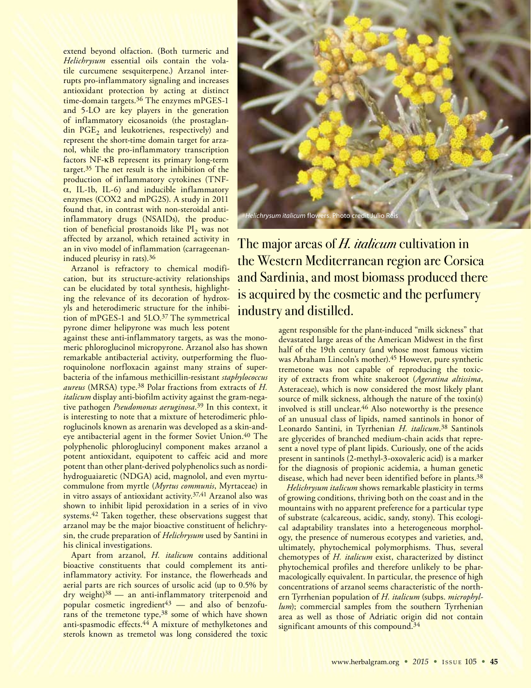extend beyond olfaction. (Both turmeric and *Helichrysum* essential oils contain the volatile curcumene sesquiterpene.) Arzanol interrupts pro-inflammatory signaling and increases antioxidant protection by acting at distinct time-domain targets.36 The enzymes mPGES-1 and 5-LO are key players in the generation of inflammatory eicosanoids (the prostaglandin  $PGE<sub>2</sub>$  and leukotrienes, respectively) and represent the short-time domain target for arzanol, while the pro-inflammatory transcription factors NF-kB represent its primary long-term target.<sup>35</sup> The net result is the inhibition of the production of inflammatory cytokines (TNF- $\alpha$ , IL-1b, IL-6) and inducible inflammatory enzymes (COX2 and mPG2S). A study in 2011 found that, in contrast with non-steroidal antiinflammatory drugs (NSAIDs), the production of beneficial prostanoids like  $PI_2$  was not affected by arzanol, which retained activity in an in vivo model of inflammation (carrageenaninduced pleurisy in rats).36

Arzanol is refractory to chemical modification, but its structure-activity relationships can be elucidated by total synthesis, highlighting the relevance of its decoration of hydroxyls and heterodimeric structure for the inhibition of mPGES-1 and 5LO.37 The symmetrical pyrone dimer helipyrone was much less potent

against these anti-inflammatory targets, as was the monomeric phloroglucinol micropyrone. Arzanol also has shown remarkable antibacterial activity, outperforming the fluoroquinolone norfloxacin against many strains of superbacteria of the infamous methicillin-resistant *staphylococcus aureus* (MRSA) type.38 Polar fractions from extracts of *H. italicum* display anti-biofilm activity against the gram-negative pathogen *Pseudomonas aeruginosa*. 39 In this context, it is interesting to note that a mixture of heterodimeric phloroglucinols known as arenarin was developed as a skin-andeye antibacterial agent in the former Soviet Union.<sup>40</sup> The polyphenolic phloroglucinyl component makes arzanol a potent antioxidant, equipotent to caffeic acid and more potent than other plant-derived polyphenolics such as nordihydroguaiaretic (NDGA) acid, magnolol, and even myrtucommulone from myrtle (*Myrtus communis*, Myrtaceae) in in vitro assays of antioxidant activity.37,41 Arzanol also was shown to inhibit lipid peroxidation in a series of in vivo systems.<sup>42</sup> Taken together, these observations suggest that arzanol may be the major bioactive constituent of helichrysin, the crude preparation of *Helichrysum* used by Santini in his clinical investigations.

Apart from arzanol, *H. italicum* contains additional bioactive constituents that could complement its antiinflammatory activity. For instance, the flowerheads and aerial parts are rich sources of ursolic acid (up to 0.5% by dry weight)38 — an anti-inflammatory triterpenoid and popular cosmetic ingredient $43$  — and also of benzofurans of the tremetone type,<sup>38</sup> some of which have shown anti-spasmodic effects.<sup>44</sup> A mixture of methylketones and sterols known as tremetol was long considered the toxic



The major areas of H. *italicum* cultivation in the Western Mediterranean region are Corsica and Sardinia, and most biomass produced there is acquired by the cosmetic and the perfumery industry and distilled.

> agent responsible for the plant-induced "milk sickness" that devastated large areas of the American Midwest in the first half of the 19th century (and whose most famous victim was Abraham Lincoln's mother).45 However, pure synthetic tremetone was not capable of reproducing the toxicity of extracts from white snakeroot (*Ageratina altissima*, Asteraceae), which is now considered the most likely plant source of milk sickness, although the nature of the toxin(s) involved is still unclear.46 Also noteworthy is the presence of an unusual class of lipids, named santinols in honor of Leonardo Santini, in Tyrrhenian *H. italicum*. 38 Santinols are glycerides of branched medium-chain acids that represent a novel type of plant lipids. Curiously, one of the acids present in santinols (2-methyl-3-oxovaleric acid) is a marker for the diagnosis of propionic acidemia, a human genetic disease, which had never been identified before in plants.38

> *Helichrysum italicum* shows remarkable plasticity in terms of growing conditions, thriving both on the coast and in the mountains with no apparent preference for a particular type of substrate (calcareous, acidic, sandy, stony). This ecological adaptability translates into a heterogeneous morphology, the presence of numerous ecotypes and varieties, and, ultimately, phytochemical polymorphisms. Thus, several chemotypes of *H. italicum* exist, characterized by distinct phytochemical profiles and therefore unlikely to be pharmacologically equivalent. In particular, the presence of high concentrations of arzanol seems characteristic of the northern Tyrrhenian population of *H. italicum* (subps. *microphyllum*); commercial samples from the southern Tyrrhenian area as well as those of Adriatic origin did not contain significant amounts of this compound.<sup>34</sup>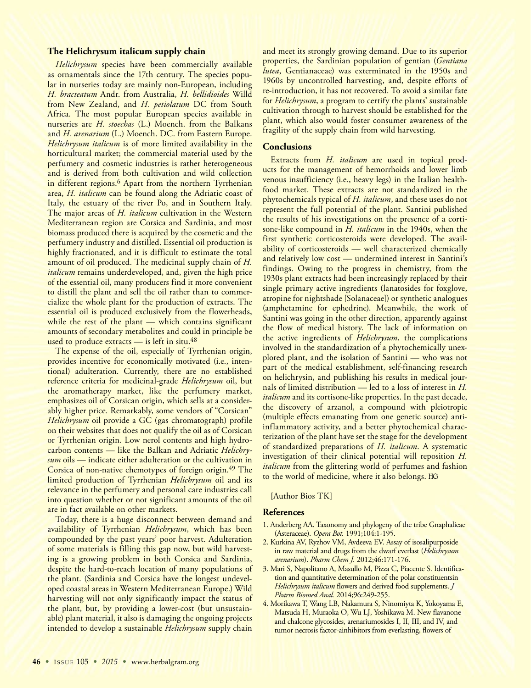#### **The Helichrysum italicum supply chain**

*Helichrysum* species have been commercially available as ornamentals since the 17th century. The species popular in nurseries today are mainly non-European, including *H. bracteatum* Andr. from Australia, *H. bellidioides* Willd from New Zealand, and *H. petiolatum* DC from South Africa. The most popular European species available in nurseries are *H. stoechas* (L.) Moench. from the Balkans and *H. arenarium* (L.) Moench. DC. from Eastern Europe. *Helichrysum italicum* is of more limited availability in the horticultural market; the commercial material used by the perfumery and cosmetic industries is rather heterogeneous and is derived from both cultivation and wild collection in different regions.6 Apart from the northern Tyrrhenian area, *H. italicum* can be found along the Adriatic coast of Italy, the estuary of the river Po, and in Southern Italy. The major areas of *H. italicum* cultivation in the Western Mediterranean region are Corsica and Sardinia, and most biomass produced there is acquired by the cosmetic and the perfumery industry and distilled. Essential oil production is highly fractionated, and it is difficult to estimate the total amount of oil produced. The medicinal supply chain of *H. italicum* remains underdeveloped, and, given the high price of the essential oil, many producers find it more convenient to distill the plant and sell the oil rather than to commercialize the whole plant for the production of extracts. The essential oil is produced exclusively from the flowerheads, while the rest of the plant — which contains significant amounts of secondary metabolites and could in principle be used to produce extracts  $-$  is left in situ.<sup>48</sup>

The expense of the oil, especially of Tyrrhenian origin, provides incentive for economically motivated (i.e., intentional) adulteration. Currently, there are no established reference criteria for medicinal-grade *Helichrysum* oil, but the aromatherapy market, like the perfumery market, emphasizes oil of Corsican origin, which sells at a considerably higher price. Remarkably, some vendors of "Corsican" *Helichrysum* oil provide a GC (gas chromatograph) profile on their websites that does not qualify the oil as of Corsican or Tyrrhenian origin. Low nerol contents and high hydrocarbon contents — like the Balkan and Adriatic *Helichrysum* oils — indicate either adulteration or the cultivation in Corsica of non-native chemotypes of foreign origin.49 The limited production of Tyrrhenian *Helichrysum* oil and its relevance in the perfumery and personal care industries call into question whether or not significant amounts of the oil are in fact available on other markets.

Today, there is a huge disconnect between demand and availability of Tyrrhenian *Helichrysum*, which has been compounded by the past years' poor harvest. Adulteration of some materials is filling this gap now, but wild harvesting is a growing problem in both Corsica and Sardinia, despite the hard-to-reach location of many populations of the plant. (Sardinia and Corsica have the longest undeveloped coastal areas in Western Mediterranean Europe.) Wild harvesting will not only significantly impact the status of the plant, but, by providing a lower-cost (but unsustainable) plant material, it also is damaging the ongoing projects intended to develop a sustainable *Helichrysum* supply chain

and meet its strongly growing demand. Due to its superior properties, the Sardinian population of gentian (*Gentiana lutea*, Gentianaceae) was exterminated in the 1950s and 1960s by uncontrolled harvesting, and, despite efforts of re-introduction, it has not recovered. To avoid a similar fate for *Helichrysum*, a program to certify the plants' sustainable cultivation through to harvest should be established for the plant, which also would foster consumer awareness of the fragility of the supply chain from wild harvesting.

#### **Conclusions**

Extracts from *H. italicum* are used in topical products for the management of hemorrhoids and lower limb venous insufficiency (i.e., heavy legs) in the Italian healthfood market. These extracts are not standardized in the phytochemicals typical of *H. italicum*, and these uses do not represent the full potential of the plant. Santini published the results of his investigations on the presence of a cortisone-like compound in *H. italicum* in the 1940s, when the first synthetic corticosteroids were developed. The availability of corticosteroids — well characterized chemically and relatively low cost — undermined interest in Santini's findings. Owing to the progress in chemistry, from the 1930s plant extracts had been increasingly replaced by their single primary active ingredients (lanatosides for foxglove, atropine for nightshade [Solanaceae]) or synthetic analogues (amphetamine for ephedrine). Meanwhile, the work of Santini was going in the other direction, apparently against the flow of medical history. The lack of information on the active ingredients of *Helichrysum*, the complications involved in the standardization of a phytochemically unexplored plant, and the isolation of Santini — who was not part of the medical establishment, self-financing research on helichrysin, and publishing his results in medical journals of limited distribution — led to a loss of interest in *H. italicum* and its cortisone-like properties. In the past decade, the discovery of arzanol, a compound with pleiotropic (multiple effects emanating from one genetic source) antiinflammatory activity, and a better phytochemical characterization of the plant have set the stage for the development of standardized preparations of *H. italicum*. A systematic investigation of their clinical potential will reposition *H. italicum* from the glittering world of perfumes and fashion to the world of medicine, where it also belongs.

[Author Bios TK]

#### **References**

- 1. Anderberg AA. Taxonomy and phylogeny of the tribe Gnaphalieae (Asteraceae). *Opera Bot.* 1991;104:1-195.
- 2. Kurkina AV, Ryzhov VM, Avdeeva EV. Assay of isosalipurposide in raw material and drugs from the dwarf everlast (*Helichrysum arenarium*). *Pharm Chem J.* 2012;46:171-176.
- 3. Mari S, Napolitano A, Masullo M, Pizza C, Piacente S. Identification and quantitative determination of the polar constituentsin *Helichrysum italicum* flowers and derived food supplements. *J Pharm Biomed Anal.* 2014;96:249-255.
- 4. Morikawa T, Wang LB, Nakamura S, Ninomiyta K, Yokoyama E, Matsuda H, Muraoka O, Wu LJ, Yoshikawa M. New flavanone and chalcone glycosides, arenariumosides I, II, III, and IV, and tumor necrosis factor-ainhibitors from everlasting, flowers of